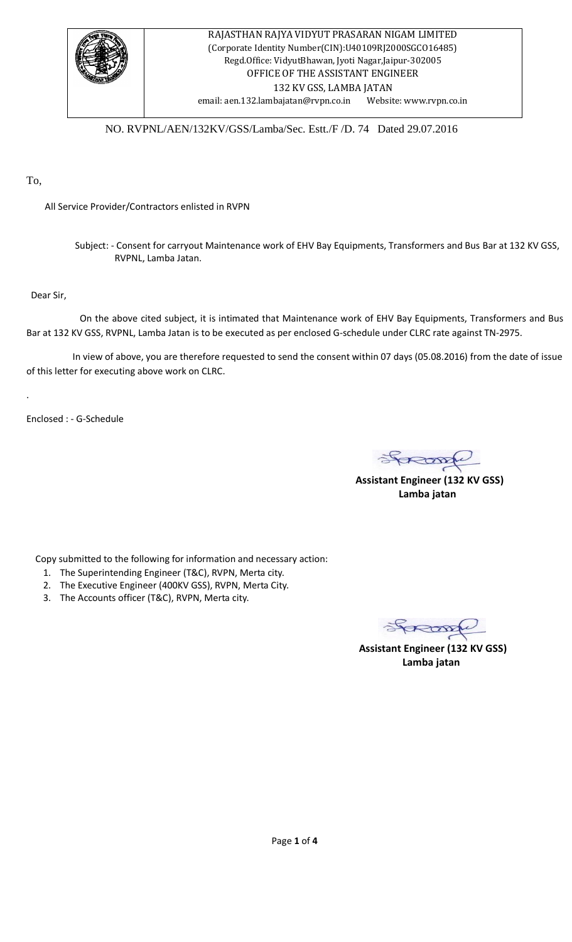

NO. RVPNL/AEN/132KV/GSS/Lamba/Sec. Estt./F /D. 74 Dated 29.07.2016

To,

All Service Provider/Contractors enlisted in RVPN

 Subject: - Consent for carryout Maintenance work of EHV Bay Equipments, Transformers and Bus Bar at 132 KV GSS, RVPNL, Lamba Jatan.

Dear Sir,

.

 On the above cited subject, it is intimated that Maintenance work of EHV Bay Equipments, Transformers and Bus Bar at 132 KV GSS, RVPNL, Lamba Jatan is to be executed as per enclosed G-schedule under CLRC rate against TN-2975.

In view of above, you are therefore requested to send the consent within 07 days (05.08.2016) from the date of issue of this letter for executing above work on CLRC.

Enclosed : - G-Schedule

 **Assistant Engineer (132 KV GSS)**

 **Lamba jatan**

Copy submitted to the following for information and necessary action:

- 1. The Superintending Engineer (T&C), RVPN, Merta city.
- 2. The Executive Engineer (400KV GSS), RVPN, Merta City.
- 3. The Accounts officer (T&C), RVPN, Merta city.

 **Assistant Engineer (132 KV GSS)**

**Lamba jatan**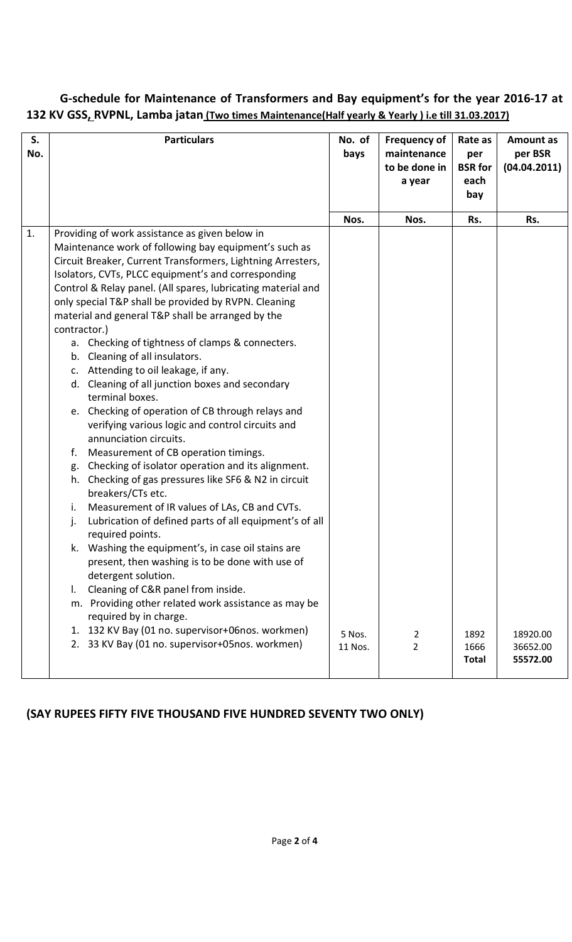## **G-schedule for Maintenance of Transformers and Bay equipment's for the year 2016-17 at 132 KV GSS, RVPNL, Lamba jatan (Two times Maintenance(Half yearly & Yearly ) i.e till 31.03.2017)**

| S.<br>No. | <b>Particulars</b>                                                                                                                                                                                                                                                                                                                                                                                                                                                                                                                                                                                                                                                                                                                                                                                                                                                                                                                                                                                                                                                                                                                                                                                                                                                                                                                                                                                                 | No. of<br>bays    | <b>Frequency of</b><br>maintenance<br>to be done in<br>a year | Rate as<br>per<br><b>BSR</b> for<br>each<br>bay | <b>Amount as</b><br>per BSR<br>(04.04.2011) |
|-----------|--------------------------------------------------------------------------------------------------------------------------------------------------------------------------------------------------------------------------------------------------------------------------------------------------------------------------------------------------------------------------------------------------------------------------------------------------------------------------------------------------------------------------------------------------------------------------------------------------------------------------------------------------------------------------------------------------------------------------------------------------------------------------------------------------------------------------------------------------------------------------------------------------------------------------------------------------------------------------------------------------------------------------------------------------------------------------------------------------------------------------------------------------------------------------------------------------------------------------------------------------------------------------------------------------------------------------------------------------------------------------------------------------------------------|-------------------|---------------------------------------------------------------|-------------------------------------------------|---------------------------------------------|
|           |                                                                                                                                                                                                                                                                                                                                                                                                                                                                                                                                                                                                                                                                                                                                                                                                                                                                                                                                                                                                                                                                                                                                                                                                                                                                                                                                                                                                                    | Nos.              | Nos.                                                          | Rs.                                             | Rs.                                         |
| 1.        | Providing of work assistance as given below in<br>Maintenance work of following bay equipment's such as<br>Circuit Breaker, Current Transformers, Lightning Arresters,<br>Isolators, CVTs, PLCC equipment's and corresponding<br>Control & Relay panel. (All spares, lubricating material and<br>only special T&P shall be provided by RVPN. Cleaning<br>material and general T&P shall be arranged by the<br>contractor.)<br>a. Checking of tightness of clamps & connecters.<br>b. Cleaning of all insulators.<br>c. Attending to oil leakage, if any.<br>d. Cleaning of all junction boxes and secondary<br>terminal boxes.<br>e. Checking of operation of CB through relays and<br>verifying various logic and control circuits and<br>annunciation circuits.<br>Measurement of CB operation timings.<br>f.<br>g. Checking of isolator operation and its alignment.<br>h. Checking of gas pressures like SF6 & N2 in circuit<br>breakers/CTs etc.<br>Measurement of IR values of LAs, CB and CVTs.<br>i.<br>Lubrication of defined parts of all equipment's of all<br>j.<br>required points.<br>k. Washing the equipment's, in case oil stains are<br>present, then washing is to be done with use of<br>detergent solution.<br>Cleaning of C&R panel from inside.<br>I.<br>m. Providing other related work assistance as may be<br>required by in charge.<br>1. 132 KV Bay (01 no. supervisor+06nos. workmen) |                   |                                                               |                                                 |                                             |
|           | 2. 33 KV Bay (01 no. supervisor+05nos. workmen)                                                                                                                                                                                                                                                                                                                                                                                                                                                                                                                                                                                                                                                                                                                                                                                                                                                                                                                                                                                                                                                                                                                                                                                                                                                                                                                                                                    | 5 Nos.<br>11 Nos. | 2<br>$\overline{2}$                                           | 1892<br>1666<br><b>Total</b>                    | 18920.00<br>36652.00<br>55572.00            |

# **(SAY RUPEES FIFTY FIVE THOUSAND FIVE HUNDRED SEVENTY TWO ONLY)**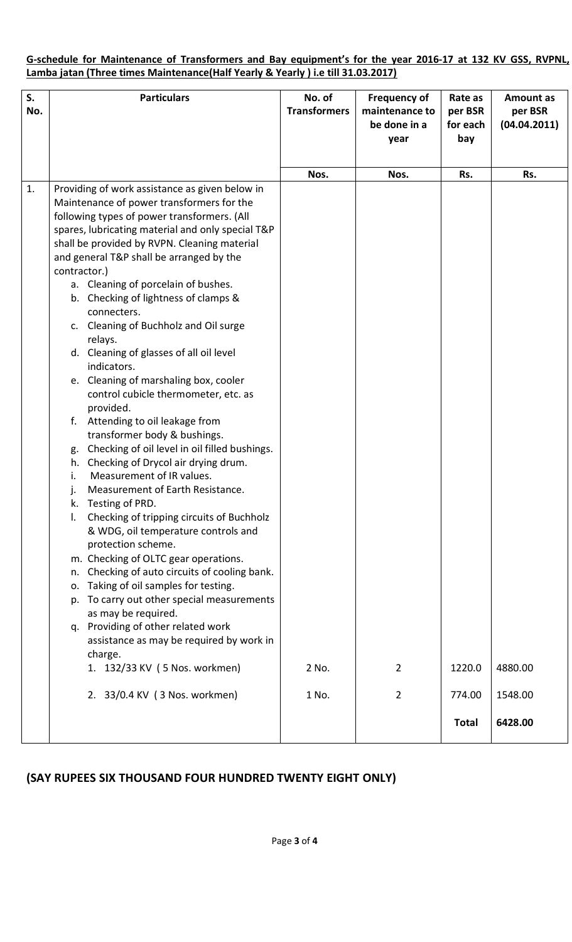### **G-schedule for Maintenance of Transformers and Bay equipment's for the year 2016-17 at 132 KV GSS, RVPNL, Lamba jatan (Three times Maintenance(Half Yearly & Yearly ) i.e till 31.03.2017)**

| S.<br>No. | <b>Particulars</b>                                                                                                                                                                                                                                                                                                                                                                                                                                                                                                                                                                                                                                                                                                                                                                                                                                                                                                                                                                                                                                                                                                                                                                                                                                                                                          | No. of<br><b>Transformers</b> | <b>Frequency of</b><br>maintenance to<br>be done in a<br>year | Rate as<br>per BSR<br>for each<br>bay | <b>Amount as</b><br>per BSR<br>(04.04.2011) |
|-----------|-------------------------------------------------------------------------------------------------------------------------------------------------------------------------------------------------------------------------------------------------------------------------------------------------------------------------------------------------------------------------------------------------------------------------------------------------------------------------------------------------------------------------------------------------------------------------------------------------------------------------------------------------------------------------------------------------------------------------------------------------------------------------------------------------------------------------------------------------------------------------------------------------------------------------------------------------------------------------------------------------------------------------------------------------------------------------------------------------------------------------------------------------------------------------------------------------------------------------------------------------------------------------------------------------------------|-------------------------------|---------------------------------------------------------------|---------------------------------------|---------------------------------------------|
|           |                                                                                                                                                                                                                                                                                                                                                                                                                                                                                                                                                                                                                                                                                                                                                                                                                                                                                                                                                                                                                                                                                                                                                                                                                                                                                                             | Nos.                          | Nos.                                                          | Rs.                                   | Rs.                                         |
| 1.        | Providing of work assistance as given below in<br>Maintenance of power transformers for the<br>following types of power transformers. (All<br>spares, lubricating material and only special T&P<br>shall be provided by RVPN. Cleaning material<br>and general T&P shall be arranged by the<br>contractor.)<br>a. Cleaning of porcelain of bushes.<br>b. Checking of lightness of clamps &<br>connecters.<br>c. Cleaning of Buchholz and Oil surge<br>relays.<br>d. Cleaning of glasses of all oil level<br>indicators.<br>e. Cleaning of marshaling box, cooler<br>control cubicle thermometer, etc. as<br>provided.<br>f. Attending to oil leakage from<br>transformer body & bushings.<br>Checking of oil level in oil filled bushings.<br>g.<br>h. Checking of Drycol air drying drum.<br>Measurement of IR values.<br>i.<br>Measurement of Earth Resistance.<br>Testing of PRD.<br>Checking of tripping circuits of Buchholz<br>& WDG, oil temperature controls and<br>protection scheme.<br>m. Checking of OLTC gear operations.<br>Checking of auto circuits of cooling bank.<br>n.<br>Taking of oil samples for testing.<br>о.<br>To carry out other special measurements<br>p.<br>as may be required.<br>q. Providing of other related work<br>assistance as may be required by work in<br>charge. |                               |                                                               |                                       |                                             |
|           | 1. 132/33 KV (5 Nos. workmen)                                                                                                                                                                                                                                                                                                                                                                                                                                                                                                                                                                                                                                                                                                                                                                                                                                                                                                                                                                                                                                                                                                                                                                                                                                                                               | 2 No.                         | $\overline{2}$                                                | 1220.0                                | 4880.00                                     |
|           | 2. 33/0.4 KV (3 Nos. workmen)                                                                                                                                                                                                                                                                                                                                                                                                                                                                                                                                                                                                                                                                                                                                                                                                                                                                                                                                                                                                                                                                                                                                                                                                                                                                               | 1 No.                         | $\overline{2}$                                                | 774.00                                | 1548.00                                     |
|           |                                                                                                                                                                                                                                                                                                                                                                                                                                                                                                                                                                                                                                                                                                                                                                                                                                                                                                                                                                                                                                                                                                                                                                                                                                                                                                             |                               |                                                               | <b>Total</b>                          | 6428.00                                     |

## **(SAY RUPEES SIX THOUSAND FOUR HUNDRED TWENTY EIGHT ONLY)**